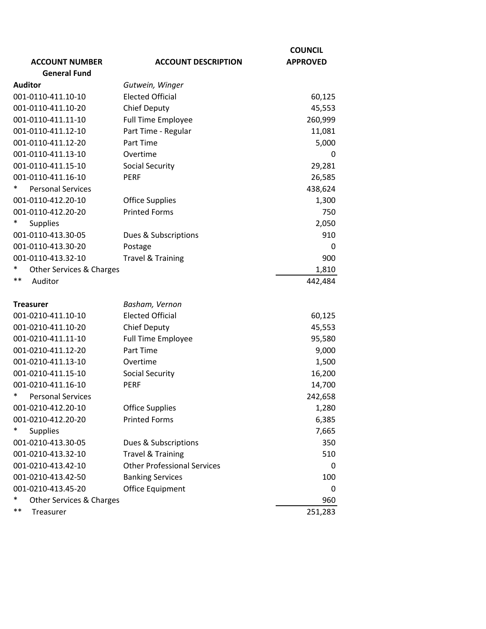|                                    |                                    | <b>COUNCIL</b>  |
|------------------------------------|------------------------------------|-----------------|
| <b>ACCOUNT NUMBER</b>              | <b>ACCOUNT DESCRIPTION</b>         | <b>APPROVED</b> |
| <b>General Fund</b>                |                                    |                 |
| <b>Auditor</b>                     | Gutwein, Winger                    |                 |
| 001-0110-411.10-10                 | <b>Elected Official</b>            | 60,125          |
| 001-0110-411.10-20                 | <b>Chief Deputy</b>                | 45,553          |
| 001-0110-411.11-10                 | <b>Full Time Employee</b>          | 260,999         |
| 001-0110-411.12-10                 | Part Time - Regular                | 11,081          |
| 001-0110-411.12-20                 | Part Time                          | 5,000           |
| 001-0110-411.13-10                 | Overtime                           | 0               |
| 001-0110-411.15-10                 | <b>Social Security</b>             | 29,281          |
| 001-0110-411.16-10                 | <b>PERF</b>                        | 26,585          |
| *<br><b>Personal Services</b>      |                                    | 438,624         |
| 001-0110-412.20-10                 | <b>Office Supplies</b>             | 1,300           |
| 001-0110-412.20-20                 | <b>Printed Forms</b>               | 750             |
| $\ast$<br><b>Supplies</b>          |                                    | 2,050           |
| 001-0110-413.30-05                 | Dues & Subscriptions               | 910             |
| 001-0110-413.30-20                 | Postage                            | 0               |
| 001-0110-413.32-10                 | <b>Travel &amp; Training</b>       | 900             |
| ∗<br>Other Services & Charges      |                                    | 1,810           |
| $***$<br>Auditor                   |                                    | 442,484         |
|                                    |                                    |                 |
| <b>Treasurer</b>                   | Basham, Vernon                     |                 |
| 001-0210-411.10-10                 | <b>Elected Official</b>            | 60,125          |
| 001-0210-411.10-20                 | <b>Chief Deputy</b>                | 45,553          |
| 001-0210-411.11-10                 | <b>Full Time Employee</b>          | 95,580          |
| 001-0210-411.12-20                 | Part Time                          | 9,000           |
| 001-0210-411.13-10                 | Overtime                           | 1,500           |
| 001-0210-411.15-10                 | <b>Social Security</b>             | 16,200          |
| 001-0210-411.16-10                 | <b>PERF</b>                        | 14,700          |
| *<br><b>Personal Services</b>      |                                    | 242,658         |
| 001-0210-412.20-10                 | <b>Office Supplies</b>             | 1,280           |
| 001-0210-412.20-20                 | <b>Printed Forms</b>               | 6,385           |
| <b>Supplies</b>                    |                                    | 7,665           |
| 001-0210-413.30-05                 | Dues & Subscriptions               | 350             |
| 001-0210-413.32-10                 | <b>Travel &amp; Training</b>       | 510             |
| 001-0210-413.42-10                 | <b>Other Professional Services</b> | 0               |
| 001-0210-413.42-50                 | <b>Banking Services</b>            | 100             |
| 001-0210-413.45-20                 | Office Equipment                   | 0               |
| $\ast$<br>Other Services & Charges |                                    | 960             |
| $***$<br>Treasurer                 |                                    | 251,283         |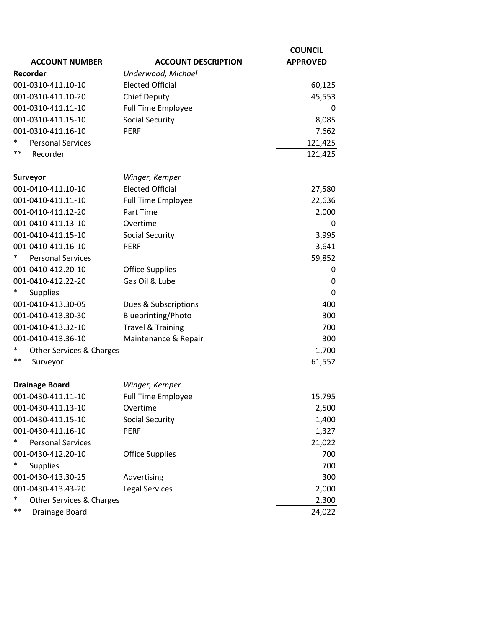|                                    |                              | <b>COUNCIL</b>  |
|------------------------------------|------------------------------|-----------------|
| <b>ACCOUNT NUMBER</b>              | <b>ACCOUNT DESCRIPTION</b>   | <b>APPROVED</b> |
| Recorder                           | Underwood, Michael           |                 |
| 001-0310-411.10-10                 | <b>Elected Official</b>      | 60,125          |
| 001-0310-411.10-20                 | <b>Chief Deputy</b>          | 45,553          |
| 001-0310-411.11-10                 | <b>Full Time Employee</b>    | 0               |
| 001-0310-411.15-10                 | <b>Social Security</b>       | 8,085           |
| 001-0310-411.16-10                 | <b>PERF</b>                  | 7,662           |
| ∗<br><b>Personal Services</b>      |                              | 121,425         |
| $***$<br>Recorder                  |                              | 121,425         |
| Surveyor                           | Winger, Kemper               |                 |
| 001-0410-411.10-10                 | <b>Elected Official</b>      | 27,580          |
| 001-0410-411.11-10                 | Full Time Employee           | 22,636          |
| 001-0410-411.12-20                 | Part Time                    | 2,000           |
| 001-0410-411.13-10                 | Overtime                     | 0               |
| 001-0410-411.15-10                 | <b>Social Security</b>       | 3,995           |
| 001-0410-411.16-10                 | <b>PERF</b>                  | 3,641           |
| $\ast$<br><b>Personal Services</b> |                              | 59,852          |
| 001-0410-412.20-10                 | <b>Office Supplies</b>       | 0               |
| 001-0410-412.22-20                 | Gas Oil & Lube               | 0               |
| <b>Supplies</b>                    |                              | 0               |
| 001-0410-413.30-05                 | Dues & Subscriptions         | 400             |
| 001-0410-413.30-30                 | Blueprinting/Photo           | 300             |
| 001-0410-413.32-10                 | <b>Travel &amp; Training</b> | 700             |
| 001-0410-413.36-10                 | Maintenance & Repair         | 300             |
| $\ast$<br>Other Services & Charges |                              | 1,700           |
| $***$<br>Surveyor                  |                              | 61,552          |
| <b>Drainage Board</b>              | Winger, Kemper               |                 |
| 001-0430-411.11-10                 | Full Time Employee           | 15,795          |
| 001-0430-411.13-10                 | Overtime                     | 2,500           |
| 001-0430-411.15-10                 | <b>Social Security</b>       | 1,400           |
| 001-0430-411.16-10                 | <b>PERF</b>                  | 1,327           |
| $\ast$<br><b>Personal Services</b> |                              | 21,022          |
| 001-0430-412.20-10                 | <b>Office Supplies</b>       | 700             |
| $\ast$<br><b>Supplies</b>          |                              | 700             |
| 001-0430-413.30-25                 | Advertising                  | 300             |
| 001-0430-413.43-20                 | <b>Legal Services</b>        | 2,000           |
| $\ast$<br>Other Services & Charges |                              | 2,300           |
| $***$<br>Drainage Board            |                              | 24,022          |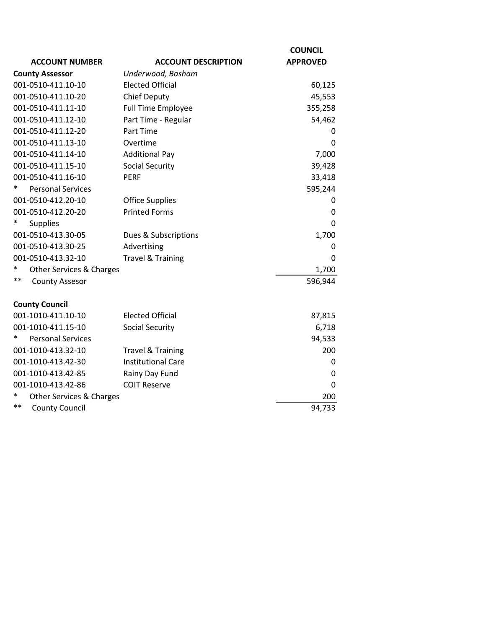| <b>ACCOUNT NUMBER</b>                          | <b>ACCOUNT DESCRIPTION</b>                     | <b>COUNCIL</b><br><b>APPROVED</b> |
|------------------------------------------------|------------------------------------------------|-----------------------------------|
| <b>County Assessor</b>                         | Underwood, Basham                              |                                   |
| 001-0510-411.10-10                             | <b>Elected Official</b>                        | 60,125                            |
| 001-0510-411.10-20                             | <b>Chief Deputy</b>                            | 45,553                            |
| 001-0510-411.11-10                             | <b>Full Time Employee</b>                      | 355,258                           |
| 001-0510-411.12-10                             | Part Time - Regular                            | 54,462                            |
| 001-0510-411.12-20                             | Part Time                                      | 0                                 |
| 001-0510-411.13-10                             | Overtime                                       | $\Omega$                          |
| 001-0510-411.14-10                             | <b>Additional Pay</b>                          | 7,000                             |
| 001-0510-411.15-10                             | <b>Social Security</b>                         | 39,428                            |
|                                                | <b>PERF</b>                                    |                                   |
| 001-0510-411.16-10<br><b>Personal Services</b> |                                                | 33,418                            |
| 001-0510-412.20-10                             |                                                | 595,244                           |
| 001-0510-412.20-20                             | <b>Office Supplies</b><br><b>Printed Forms</b> | 0                                 |
|                                                |                                                | 0                                 |
| Supplies                                       |                                                | 0                                 |
| 001-0510-413.30-05                             | Dues & Subscriptions                           | 1,700                             |
| 001-0510-413.30-25                             | Advertising                                    | 0                                 |
| 001-0510-413.32-10                             | <b>Travel &amp; Training</b>                   | 0                                 |
| *<br>Other Services & Charges<br>$***$         |                                                | 1,700                             |
| <b>County Assesor</b>                          |                                                | 596,944                           |
| <b>County Council</b>                          |                                                |                                   |
| 001-1010-411.10-10                             | <b>Elected Official</b>                        | 87,815                            |
| 001-1010-411.15-10                             | <b>Social Security</b>                         | 6,718                             |
| <b>Personal Services</b><br>∗                  |                                                | 94,533                            |
| 001-1010-413.32-10                             | <b>Travel &amp; Training</b>                   | 200                               |
| 001-1010-413.42-30                             | <b>Institutional Care</b>                      | 0                                 |
| 001-1010-413.42-85                             | Rainy Day Fund                                 | 0                                 |
| 001-1010-413.42-86                             | <b>COIT Reserve</b>                            | 0                                 |
| Other Services & Charges                       |                                                | 200                               |
| $***$<br><b>County Council</b>                 |                                                | 94,733                            |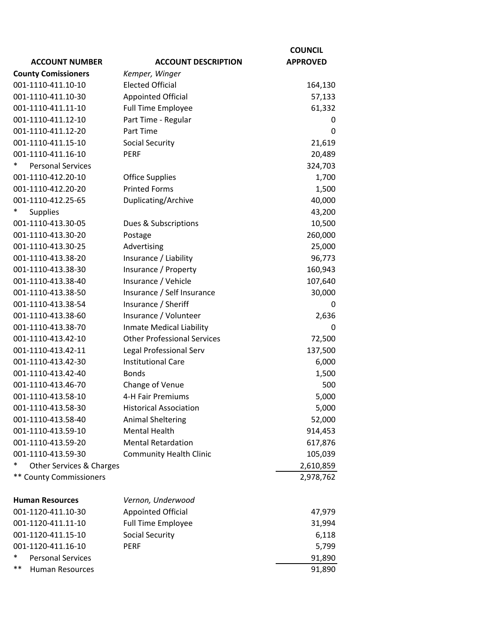|                                    |                                    | <b>COUNCIL</b>  |
|------------------------------------|------------------------------------|-----------------|
| <b>ACCOUNT NUMBER</b>              | <b>ACCOUNT DESCRIPTION</b>         | <b>APPROVED</b> |
| <b>County Comissioners</b>         | Kemper, Winger                     |                 |
| 001-1110-411.10-10                 | <b>Elected Official</b>            | 164,130         |
| 001-1110-411.10-30                 | <b>Appointed Official</b>          | 57,133          |
| 001-1110-411.11-10                 | <b>Full Time Employee</b>          | 61,332          |
| 001-1110-411.12-10                 | Part Time - Regular                | 0               |
| 001-1110-411.12-20                 | Part Time                          | $\mathbf 0$     |
| 001-1110-411.15-10                 | <b>Social Security</b>             | 21,619          |
| 001-1110-411.16-10                 | <b>PERF</b>                        | 20,489          |
| $\ast$<br><b>Personal Services</b> |                                    | 324,703         |
| 001-1110-412.20-10                 | <b>Office Supplies</b>             | 1,700           |
| 001-1110-412.20-20                 | <b>Printed Forms</b>               | 1,500           |
| 001-1110-412.25-65                 | Duplicating/Archive                | 40,000          |
| <b>Supplies</b><br>*               |                                    | 43,200          |
| 001-1110-413.30-05                 | Dues & Subscriptions               | 10,500          |
| 001-1110-413.30-20                 | Postage                            | 260,000         |
| 001-1110-413.30-25                 | Advertising                        | 25,000          |
| 001-1110-413.38-20                 | Insurance / Liability              | 96,773          |
| 001-1110-413.38-30                 | Insurance / Property               | 160,943         |
| 001-1110-413.38-40                 | Insurance / Vehicle                | 107,640         |
| 001-1110-413.38-50                 | Insurance / Self Insurance         | 30,000          |
| 001-1110-413.38-54                 | Insurance / Sheriff                | $\Omega$        |
| 001-1110-413.38-60                 | Insurance / Volunteer              | 2,636           |
| 001-1110-413.38-70                 | Inmate Medical Liability           | 0               |
| 001-1110-413.42-10                 | <b>Other Professional Services</b> | 72,500          |
| 001-1110-413.42-11                 | Legal Professional Serv            | 137,500         |
| 001-1110-413.42-30                 | <b>Institutional Care</b>          | 6,000           |
| 001-1110-413.42-40                 | <b>Bonds</b>                       | 1,500           |
| 001-1110-413.46-70                 | Change of Venue                    | 500             |
| 001-1110-413.58-10                 | 4-H Fair Premiums                  | 5,000           |
| 001-1110-413.58-30                 | <b>Historical Association</b>      | 5,000           |
| 001-1110-413.58-40                 | <b>Animal Sheltering</b>           | 52,000          |
| 001-1110-413.59-10                 | <b>Mental Health</b>               | 914,453         |
| 001-1110-413.59-20                 | <b>Mental Retardation</b>          | 617,876         |
| 001-1110-413.59-30                 | <b>Community Health Clinic</b>     | 105,039         |
| $\ast$<br>Other Services & Charges |                                    | 2,610,859       |
| <b>** County Commissioners</b>     |                                    | 2,978,762       |
|                                    |                                    |                 |
| <b>Human Resources</b>             | Vernon, Underwood                  |                 |
| 001-1120-411.10-30                 | Appointed Official                 | 47,979          |
| 001-1120-411.11-10                 | <b>Full Time Employee</b>          | 31,994          |
| 001-1120-411.15-10                 | <b>Social Security</b>             | 6,118           |
| 001-1120-411.16-10                 | <b>PERF</b>                        | 5,799           |
| *<br><b>Personal Services</b>      |                                    | 91,890          |
| $***$<br>Human Resources           |                                    | 91,890          |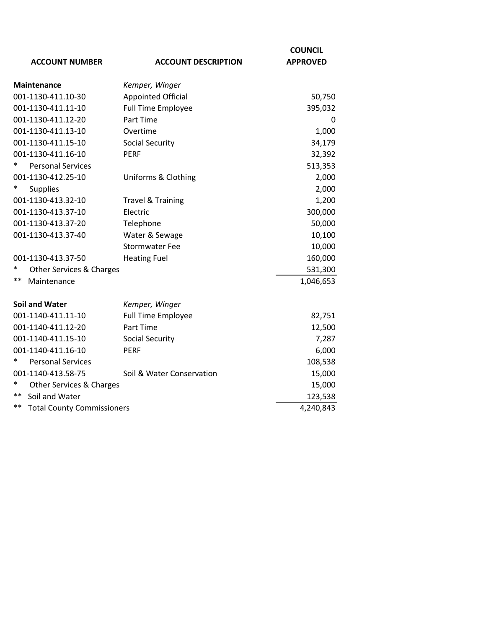|                                         |                              | <b>COUNCIL</b>  |
|-----------------------------------------|------------------------------|-----------------|
| <b>ACCOUNT NUMBER</b>                   | <b>ACCOUNT DESCRIPTION</b>   | <b>APPROVED</b> |
| <b>Maintenance</b>                      | Kemper, Winger               |                 |
| 001-1130-411.10-30                      | <b>Appointed Official</b>    | 50,750          |
| 001-1130-411.11-10                      | <b>Full Time Employee</b>    | 395,032         |
| 001-1130-411.12-20                      | Part Time                    | 0               |
| 001-1130-411.13-10                      | Overtime                     | 1,000           |
| 001-1130-411.15-10                      | <b>Social Security</b>       | 34,179          |
| 001-1130-411.16-10                      | <b>PERF</b>                  | 32,392          |
| <b>Personal Services</b>                |                              | 513,353         |
| 001-1130-412.25-10                      | Uniforms & Clothing          | 2,000           |
| <b>Supplies</b>                         |                              | 2,000           |
| 001-1130-413.32-10                      | <b>Travel &amp; Training</b> | 1,200           |
| 001-1130-413.37-10                      | Electric                     | 300,000         |
| 001-1130-413.37-20                      | Telephone                    | 50,000          |
| 001-1130-413.37-40                      | Water & Sewage               | 10,100          |
|                                         | <b>Stormwater Fee</b>        | 10,000          |
| 001-1130-413.37-50                      | <b>Heating Fuel</b>          | 160,000         |
| $\ast$<br>Other Services & Charges      |                              | 531,300         |
| **<br>Maintenance                       |                              | 1,046,653       |
| <b>Soil and Water</b>                   | Kemper, Winger               |                 |
| 001-1140-411.11-10                      | <b>Full Time Employee</b>    | 82,751          |
| 001-1140-411.12-20                      | Part Time                    | 12,500          |
| 001-1140-411.15-10                      | <b>Social Security</b>       | 7,287           |
| 001-1140-411.16-10                      | <b>PERF</b>                  | 6,000           |
| <b>Personal Services</b>                |                              | 108,538         |
| 001-1140-413.58-75                      | Soil & Water Conservation    | 15,000          |
| $\ast$<br>Other Services & Charges      |                              | 15,000          |
| **<br>Soil and Water                    |                              | 123,538         |
| **<br><b>Total County Commissioners</b> |                              | 4,240,843       |
|                                         |                              |                 |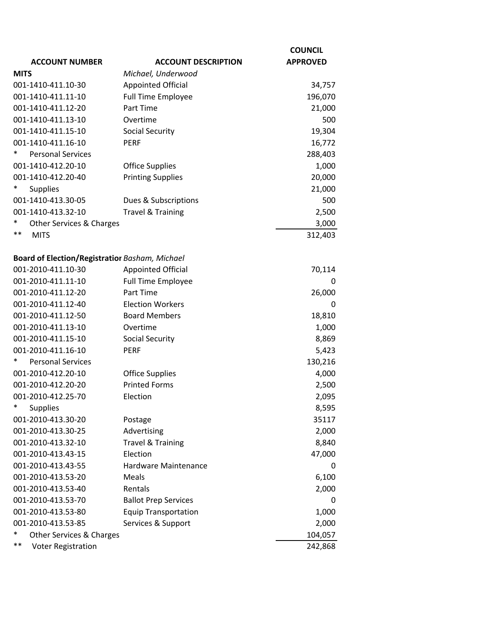| <b>APPROVED</b><br><b>ACCOUNT DESCRIPTION</b><br><b>ACCOUNT NUMBER</b><br><b>MITS</b><br>Michael, Underwood<br>001-1410-411.10-30<br><b>Appointed Official</b><br>34,757<br>001-1410-411.11-10<br><b>Full Time Employee</b><br>196,070<br>Part Time<br>001-1410-411.12-20<br>21,000<br>001-1410-411.13-10<br>Overtime<br>500<br>001-1410-411.15-10<br><b>Social Security</b><br>19,304<br>001-1410-411.16-10<br><b>PERF</b><br>16,772<br>*<br><b>Personal Services</b><br>288,403<br>001-1410-412.20-10<br><b>Office Supplies</b><br>1,000<br><b>Printing Supplies</b><br>20,000<br>001-1410-412.20-40<br><b>Supplies</b><br>21,000<br>001-1410-413.30-05<br>500<br>Dues & Subscriptions<br><b>Travel &amp; Training</b><br>001-1410-413.32-10<br>2,500<br>Other Services & Charges<br>3,000<br>**<br><b>MITS</b><br>312,403<br><b>Board of Election/Registratior Basham, Michael</b><br><b>Appointed Official</b><br>001-2010-411.10-30<br>70,114<br>001-2010-411.11-10<br><b>Full Time Employee</b><br>0<br>001-2010-411.12-20<br>Part Time<br>26,000<br>001-2010-411.12-40<br><b>Election Workers</b><br>0<br><b>Board Members</b><br>001-2010-411.12-50<br>18,810<br>001-2010-411.13-10<br>Overtime<br>1,000<br>8,869<br>001-2010-411.15-10<br><b>Social Security</b><br>5,423<br>001-2010-411.16-10<br><b>PERF</b><br><b>Personal Services</b><br>130,216<br>001-2010-412.20-10<br><b>Office Supplies</b><br>4,000<br><b>Printed Forms</b><br>001-2010-412.20-20<br>2,500<br>Election<br>2,095<br>001-2010-412.25-70<br>*<br><b>Supplies</b><br>8,595<br>001-2010-413.30-20<br>35117<br>Postage<br>001-2010-413.30-25<br>Advertising<br>2,000<br><b>Travel &amp; Training</b><br>001-2010-413.32-10<br>8,840<br>Election<br>001-2010-413.43-15<br>47,000<br>001-2010-413.43-55<br><b>Hardware Maintenance</b><br>0<br>001-2010-413.53-20<br>Meals<br>6,100<br>001-2010-413.53-40<br>Rentals<br>2,000<br>001-2010-413.53-70<br><b>Ballot Prep Services</b><br>0<br>001-2010-413.53-80<br><b>Equip Transportation</b><br>1,000<br>001-2010-413.53-85<br>Services & Support<br>2,000<br>*<br>Other Services & Charges<br>104,057 |                                 | <b>COUNCIL</b> |
|------------------------------------------------------------------------------------------------------------------------------------------------------------------------------------------------------------------------------------------------------------------------------------------------------------------------------------------------------------------------------------------------------------------------------------------------------------------------------------------------------------------------------------------------------------------------------------------------------------------------------------------------------------------------------------------------------------------------------------------------------------------------------------------------------------------------------------------------------------------------------------------------------------------------------------------------------------------------------------------------------------------------------------------------------------------------------------------------------------------------------------------------------------------------------------------------------------------------------------------------------------------------------------------------------------------------------------------------------------------------------------------------------------------------------------------------------------------------------------------------------------------------------------------------------------------------------------------------------------------------------------------------------------------------------------------------------------------------------------------------------------------------------------------------------------------------------------------------------------------------------------------------------------------------------------------------------------------------------------------------------------------------------------------------------------------------------------------------------------------------------------|---------------------------------|----------------|
|                                                                                                                                                                                                                                                                                                                                                                                                                                                                                                                                                                                                                                                                                                                                                                                                                                                                                                                                                                                                                                                                                                                                                                                                                                                                                                                                                                                                                                                                                                                                                                                                                                                                                                                                                                                                                                                                                                                                                                                                                                                                                                                                    |                                 |                |
|                                                                                                                                                                                                                                                                                                                                                                                                                                                                                                                                                                                                                                                                                                                                                                                                                                                                                                                                                                                                                                                                                                                                                                                                                                                                                                                                                                                                                                                                                                                                                                                                                                                                                                                                                                                                                                                                                                                                                                                                                                                                                                                                    |                                 |                |
|                                                                                                                                                                                                                                                                                                                                                                                                                                                                                                                                                                                                                                                                                                                                                                                                                                                                                                                                                                                                                                                                                                                                                                                                                                                                                                                                                                                                                                                                                                                                                                                                                                                                                                                                                                                                                                                                                                                                                                                                                                                                                                                                    |                                 |                |
|                                                                                                                                                                                                                                                                                                                                                                                                                                                                                                                                                                                                                                                                                                                                                                                                                                                                                                                                                                                                                                                                                                                                                                                                                                                                                                                                                                                                                                                                                                                                                                                                                                                                                                                                                                                                                                                                                                                                                                                                                                                                                                                                    |                                 |                |
|                                                                                                                                                                                                                                                                                                                                                                                                                                                                                                                                                                                                                                                                                                                                                                                                                                                                                                                                                                                                                                                                                                                                                                                                                                                                                                                                                                                                                                                                                                                                                                                                                                                                                                                                                                                                                                                                                                                                                                                                                                                                                                                                    |                                 |                |
|                                                                                                                                                                                                                                                                                                                                                                                                                                                                                                                                                                                                                                                                                                                                                                                                                                                                                                                                                                                                                                                                                                                                                                                                                                                                                                                                                                                                                                                                                                                                                                                                                                                                                                                                                                                                                                                                                                                                                                                                                                                                                                                                    |                                 |                |
|                                                                                                                                                                                                                                                                                                                                                                                                                                                                                                                                                                                                                                                                                                                                                                                                                                                                                                                                                                                                                                                                                                                                                                                                                                                                                                                                                                                                                                                                                                                                                                                                                                                                                                                                                                                                                                                                                                                                                                                                                                                                                                                                    |                                 |                |
|                                                                                                                                                                                                                                                                                                                                                                                                                                                                                                                                                                                                                                                                                                                                                                                                                                                                                                                                                                                                                                                                                                                                                                                                                                                                                                                                                                                                                                                                                                                                                                                                                                                                                                                                                                                                                                                                                                                                                                                                                                                                                                                                    |                                 |                |
|                                                                                                                                                                                                                                                                                                                                                                                                                                                                                                                                                                                                                                                                                                                                                                                                                                                                                                                                                                                                                                                                                                                                                                                                                                                                                                                                                                                                                                                                                                                                                                                                                                                                                                                                                                                                                                                                                                                                                                                                                                                                                                                                    |                                 |                |
|                                                                                                                                                                                                                                                                                                                                                                                                                                                                                                                                                                                                                                                                                                                                                                                                                                                                                                                                                                                                                                                                                                                                                                                                                                                                                                                                                                                                                                                                                                                                                                                                                                                                                                                                                                                                                                                                                                                                                                                                                                                                                                                                    |                                 |                |
|                                                                                                                                                                                                                                                                                                                                                                                                                                                                                                                                                                                                                                                                                                                                                                                                                                                                                                                                                                                                                                                                                                                                                                                                                                                                                                                                                                                                                                                                                                                                                                                                                                                                                                                                                                                                                                                                                                                                                                                                                                                                                                                                    |                                 |                |
|                                                                                                                                                                                                                                                                                                                                                                                                                                                                                                                                                                                                                                                                                                                                                                                                                                                                                                                                                                                                                                                                                                                                                                                                                                                                                                                                                                                                                                                                                                                                                                                                                                                                                                                                                                                                                                                                                                                                                                                                                                                                                                                                    |                                 |                |
|                                                                                                                                                                                                                                                                                                                                                                                                                                                                                                                                                                                                                                                                                                                                                                                                                                                                                                                                                                                                                                                                                                                                                                                                                                                                                                                                                                                                                                                                                                                                                                                                                                                                                                                                                                                                                                                                                                                                                                                                                                                                                                                                    |                                 |                |
|                                                                                                                                                                                                                                                                                                                                                                                                                                                                                                                                                                                                                                                                                                                                                                                                                                                                                                                                                                                                                                                                                                                                                                                                                                                                                                                                                                                                                                                                                                                                                                                                                                                                                                                                                                                                                                                                                                                                                                                                                                                                                                                                    |                                 |                |
|                                                                                                                                                                                                                                                                                                                                                                                                                                                                                                                                                                                                                                                                                                                                                                                                                                                                                                                                                                                                                                                                                                                                                                                                                                                                                                                                                                                                                                                                                                                                                                                                                                                                                                                                                                                                                                                                                                                                                                                                                                                                                                                                    |                                 |                |
|                                                                                                                                                                                                                                                                                                                                                                                                                                                                                                                                                                                                                                                                                                                                                                                                                                                                                                                                                                                                                                                                                                                                                                                                                                                                                                                                                                                                                                                                                                                                                                                                                                                                                                                                                                                                                                                                                                                                                                                                                                                                                                                                    |                                 |                |
|                                                                                                                                                                                                                                                                                                                                                                                                                                                                                                                                                                                                                                                                                                                                                                                                                                                                                                                                                                                                                                                                                                                                                                                                                                                                                                                                                                                                                                                                                                                                                                                                                                                                                                                                                                                                                                                                                                                                                                                                                                                                                                                                    |                                 |                |
|                                                                                                                                                                                                                                                                                                                                                                                                                                                                                                                                                                                                                                                                                                                                                                                                                                                                                                                                                                                                                                                                                                                                                                                                                                                                                                                                                                                                                                                                                                                                                                                                                                                                                                                                                                                                                                                                                                                                                                                                                                                                                                                                    |                                 |                |
|                                                                                                                                                                                                                                                                                                                                                                                                                                                                                                                                                                                                                                                                                                                                                                                                                                                                                                                                                                                                                                                                                                                                                                                                                                                                                                                                                                                                                                                                                                                                                                                                                                                                                                                                                                                                                                                                                                                                                                                                                                                                                                                                    |                                 |                |
|                                                                                                                                                                                                                                                                                                                                                                                                                                                                                                                                                                                                                                                                                                                                                                                                                                                                                                                                                                                                                                                                                                                                                                                                                                                                                                                                                                                                                                                                                                                                                                                                                                                                                                                                                                                                                                                                                                                                                                                                                                                                                                                                    |                                 |                |
|                                                                                                                                                                                                                                                                                                                                                                                                                                                                                                                                                                                                                                                                                                                                                                                                                                                                                                                                                                                                                                                                                                                                                                                                                                                                                                                                                                                                                                                                                                                                                                                                                                                                                                                                                                                                                                                                                                                                                                                                                                                                                                                                    |                                 |                |
|                                                                                                                                                                                                                                                                                                                                                                                                                                                                                                                                                                                                                                                                                                                                                                                                                                                                                                                                                                                                                                                                                                                                                                                                                                                                                                                                                                                                                                                                                                                                                                                                                                                                                                                                                                                                                                                                                                                                                                                                                                                                                                                                    |                                 |                |
|                                                                                                                                                                                                                                                                                                                                                                                                                                                                                                                                                                                                                                                                                                                                                                                                                                                                                                                                                                                                                                                                                                                                                                                                                                                                                                                                                                                                                                                                                                                                                                                                                                                                                                                                                                                                                                                                                                                                                                                                                                                                                                                                    |                                 |                |
|                                                                                                                                                                                                                                                                                                                                                                                                                                                                                                                                                                                                                                                                                                                                                                                                                                                                                                                                                                                                                                                                                                                                                                                                                                                                                                                                                                                                                                                                                                                                                                                                                                                                                                                                                                                                                                                                                                                                                                                                                                                                                                                                    |                                 |                |
|                                                                                                                                                                                                                                                                                                                                                                                                                                                                                                                                                                                                                                                                                                                                                                                                                                                                                                                                                                                                                                                                                                                                                                                                                                                                                                                                                                                                                                                                                                                                                                                                                                                                                                                                                                                                                                                                                                                                                                                                                                                                                                                                    |                                 |                |
|                                                                                                                                                                                                                                                                                                                                                                                                                                                                                                                                                                                                                                                                                                                                                                                                                                                                                                                                                                                                                                                                                                                                                                                                                                                                                                                                                                                                                                                                                                                                                                                                                                                                                                                                                                                                                                                                                                                                                                                                                                                                                                                                    |                                 |                |
|                                                                                                                                                                                                                                                                                                                                                                                                                                                                                                                                                                                                                                                                                                                                                                                                                                                                                                                                                                                                                                                                                                                                                                                                                                                                                                                                                                                                                                                                                                                                                                                                                                                                                                                                                                                                                                                                                                                                                                                                                                                                                                                                    |                                 |                |
|                                                                                                                                                                                                                                                                                                                                                                                                                                                                                                                                                                                                                                                                                                                                                                                                                                                                                                                                                                                                                                                                                                                                                                                                                                                                                                                                                                                                                                                                                                                                                                                                                                                                                                                                                                                                                                                                                                                                                                                                                                                                                                                                    |                                 |                |
|                                                                                                                                                                                                                                                                                                                                                                                                                                                                                                                                                                                                                                                                                                                                                                                                                                                                                                                                                                                                                                                                                                                                                                                                                                                                                                                                                                                                                                                                                                                                                                                                                                                                                                                                                                                                                                                                                                                                                                                                                                                                                                                                    |                                 |                |
|                                                                                                                                                                                                                                                                                                                                                                                                                                                                                                                                                                                                                                                                                                                                                                                                                                                                                                                                                                                                                                                                                                                                                                                                                                                                                                                                                                                                                                                                                                                                                                                                                                                                                                                                                                                                                                                                                                                                                                                                                                                                                                                                    |                                 |                |
|                                                                                                                                                                                                                                                                                                                                                                                                                                                                                                                                                                                                                                                                                                                                                                                                                                                                                                                                                                                                                                                                                                                                                                                                                                                                                                                                                                                                                                                                                                                                                                                                                                                                                                                                                                                                                                                                                                                                                                                                                                                                                                                                    |                                 |                |
|                                                                                                                                                                                                                                                                                                                                                                                                                                                                                                                                                                                                                                                                                                                                                                                                                                                                                                                                                                                                                                                                                                                                                                                                                                                                                                                                                                                                                                                                                                                                                                                                                                                                                                                                                                                                                                                                                                                                                                                                                                                                                                                                    |                                 |                |
|                                                                                                                                                                                                                                                                                                                                                                                                                                                                                                                                                                                                                                                                                                                                                                                                                                                                                                                                                                                                                                                                                                                                                                                                                                                                                                                                                                                                                                                                                                                                                                                                                                                                                                                                                                                                                                                                                                                                                                                                                                                                                                                                    |                                 |                |
|                                                                                                                                                                                                                                                                                                                                                                                                                                                                                                                                                                                                                                                                                                                                                                                                                                                                                                                                                                                                                                                                                                                                                                                                                                                                                                                                                                                                                                                                                                                                                                                                                                                                                                                                                                                                                                                                                                                                                                                                                                                                                                                                    |                                 |                |
|                                                                                                                                                                                                                                                                                                                                                                                                                                                                                                                                                                                                                                                                                                                                                                                                                                                                                                                                                                                                                                                                                                                                                                                                                                                                                                                                                                                                                                                                                                                                                                                                                                                                                                                                                                                                                                                                                                                                                                                                                                                                                                                                    |                                 |                |
|                                                                                                                                                                                                                                                                                                                                                                                                                                                                                                                                                                                                                                                                                                                                                                                                                                                                                                                                                                                                                                                                                                                                                                                                                                                                                                                                                                                                                                                                                                                                                                                                                                                                                                                                                                                                                                                                                                                                                                                                                                                                                                                                    |                                 |                |
|                                                                                                                                                                                                                                                                                                                                                                                                                                                                                                                                                                                                                                                                                                                                                                                                                                                                                                                                                                                                                                                                                                                                                                                                                                                                                                                                                                                                                                                                                                                                                                                                                                                                                                                                                                                                                                                                                                                                                                                                                                                                                                                                    |                                 |                |
|                                                                                                                                                                                                                                                                                                                                                                                                                                                                                                                                                                                                                                                                                                                                                                                                                                                                                                                                                                                                                                                                                                                                                                                                                                                                                                                                                                                                                                                                                                                                                                                                                                                                                                                                                                                                                                                                                                                                                                                                                                                                                                                                    |                                 |                |
|                                                                                                                                                                                                                                                                                                                                                                                                                                                                                                                                                                                                                                                                                                                                                                                                                                                                                                                                                                                                                                                                                                                                                                                                                                                                                                                                                                                                                                                                                                                                                                                                                                                                                                                                                                                                                                                                                                                                                                                                                                                                                                                                    |                                 |                |
|                                                                                                                                                                                                                                                                                                                                                                                                                                                                                                                                                                                                                                                                                                                                                                                                                                                                                                                                                                                                                                                                                                                                                                                                                                                                                                                                                                                                                                                                                                                                                                                                                                                                                                                                                                                                                                                                                                                                                                                                                                                                                                                                    |                                 |                |
|                                                                                                                                                                                                                                                                                                                                                                                                                                                                                                                                                                                                                                                                                                                                                                                                                                                                                                                                                                                                                                                                                                                                                                                                                                                                                                                                                                                                                                                                                                                                                                                                                                                                                                                                                                                                                                                                                                                                                                                                                                                                                                                                    |                                 |                |
|                                                                                                                                                                                                                                                                                                                                                                                                                                                                                                                                                                                                                                                                                                                                                                                                                                                                                                                                                                                                                                                                                                                                                                                                                                                                                                                                                                                                                                                                                                                                                                                                                                                                                                                                                                                                                                                                                                                                                                                                                                                                                                                                    | **<br><b>Voter Registration</b> | 242,868        |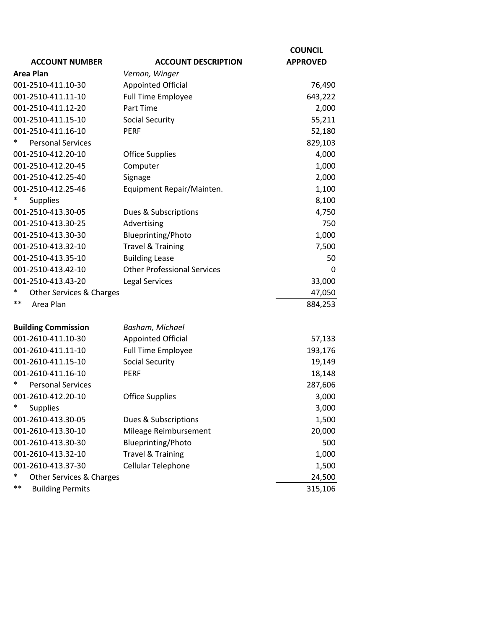|                                    |                                    | <b>COUNCIL</b>  |
|------------------------------------|------------------------------------|-----------------|
| <b>ACCOUNT NUMBER</b>              | <b>ACCOUNT DESCRIPTION</b>         | <b>APPROVED</b> |
| <b>Area Plan</b>                   | Vernon, Winger                     |                 |
| 001-2510-411.10-30                 | <b>Appointed Official</b>          | 76,490          |
| 001-2510-411.11-10                 | <b>Full Time Employee</b>          | 643,222         |
| 001-2510-411.12-20                 | Part Time                          | 2,000           |
| 001-2510-411.15-10                 | <b>Social Security</b>             | 55,211          |
| 001-2510-411.16-10                 | <b>PERF</b>                        | 52,180          |
| <b>Personal Services</b>           |                                    | 829,103         |
| 001-2510-412.20-10                 | <b>Office Supplies</b>             | 4,000           |
| 001-2510-412.20-45                 | Computer                           | 1,000           |
| 001-2510-412.25-40                 | Signage                            | 2,000           |
| 001-2510-412.25-46                 | Equipment Repair/Mainten.          | 1,100           |
| $\ast$<br><b>Supplies</b>          |                                    | 8,100           |
| 001-2510-413.30-05                 | Dues & Subscriptions               | 4,750           |
| 001-2510-413.30-25                 | Advertising                        | 750             |
| 001-2510-413.30-30                 | Blueprinting/Photo                 | 1,000           |
| 001-2510-413.32-10                 | <b>Travel &amp; Training</b>       | 7,500           |
| 001-2510-413.35-10                 | <b>Building Lease</b>              | 50              |
| 001-2510-413.42-10                 | <b>Other Professional Services</b> | 0               |
| 001-2510-413.43-20                 | <b>Legal Services</b>              | 33,000          |
| $\ast$<br>Other Services & Charges |                                    | 47,050          |
| $***$<br>Area Plan                 |                                    | 884,253         |
| <b>Building Commission</b>         | Basham, Michael                    |                 |
| 001-2610-411.10-30                 | <b>Appointed Official</b>          | 57,133          |
| 001-2610-411.11-10                 | <b>Full Time Employee</b>          | 193,176         |
| 001-2610-411.15-10                 | <b>Social Security</b>             | 19,149          |
| 001-2610-411.16-10                 | <b>PERF</b>                        | 18,148          |
| <b>Personal Services</b>           |                                    | 287,606         |
| 001-2610-412.20-10                 | <b>Office Supplies</b>             | 3,000           |
| $\ast$<br><b>Supplies</b>          |                                    | 3,000           |
| 001-2610-413.30-05                 | Dues & Subscriptions               | 1,500           |
| 001-2610-413.30-10                 | Mileage Reimbursement              | 20,000          |
| 001-2610-413.30-30                 | <b>Blueprinting/Photo</b>          | 500             |
| 001-2610-413.32-10                 | <b>Travel &amp; Training</b>       | 1,000           |
| 001-2610-413.37-30                 | Cellular Telephone                 | 1,500           |
| $\ast$<br>Other Services & Charges |                                    | 24,500          |
| $***$<br><b>Building Permits</b>   |                                    | 315,106         |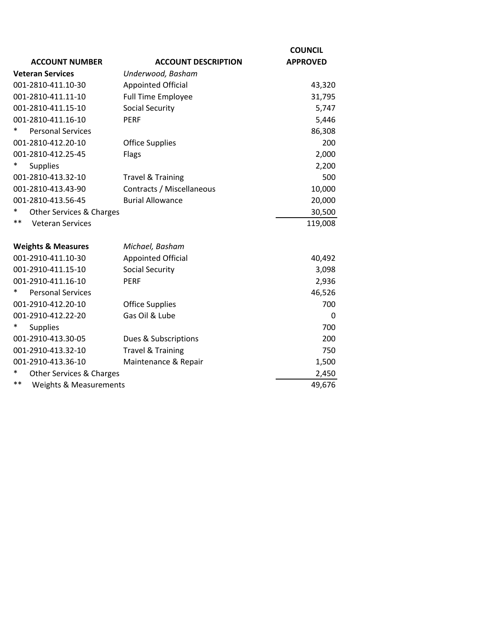|                                            |                              | <b>COUNCIL</b>  |  |
|--------------------------------------------|------------------------------|-----------------|--|
| <b>ACCOUNT NUMBER</b>                      | <b>ACCOUNT DESCRIPTION</b>   | <b>APPROVED</b> |  |
| <b>Veteran Services</b>                    | Underwood, Basham            |                 |  |
| 001-2810-411.10-30                         | <b>Appointed Official</b>    | 43,320          |  |
| 001-2810-411.11-10                         | <b>Full Time Employee</b>    | 31,795          |  |
| 001-2810-411.15-10                         | <b>Social Security</b>       | 5,747           |  |
| 001-2810-411.16-10                         | <b>PERF</b>                  | 5,446           |  |
| $\ast$<br><b>Personal Services</b>         |                              | 86,308          |  |
| 001-2810-412.20-10                         | <b>Office Supplies</b>       | 200             |  |
| 001-2810-412.25-45                         | Flags                        | 2,000           |  |
| $\ast$<br><b>Supplies</b>                  |                              | 2,200           |  |
| 001-2810-413.32-10                         | <b>Travel &amp; Training</b> | 500             |  |
| 001-2810-413.43-90                         | Contracts / Miscellaneous    | 10,000          |  |
| 001-2810-413.56-45                         | <b>Burial Allowance</b>      | 20,000          |  |
| *<br>Other Services & Charges              |                              | 30,500          |  |
| $***$<br><b>Veteran Services</b>           |                              | 119,008         |  |
|                                            |                              |                 |  |
| <b>Weights &amp; Measures</b>              | Michael, Basham              |                 |  |
| 001-2910-411.10-30                         | <b>Appointed Official</b>    | 40,492          |  |
| 001-2910-411.15-10                         | <b>Social Security</b>       | 3,098           |  |
| 001-2910-411.16-10                         | <b>PERF</b>                  | 2,936           |  |
| <b>Personal Services</b>                   |                              | 46,526          |  |
| 001-2910-412.20-10                         | <b>Office Supplies</b>       | 700             |  |
| 001-2910-412.22-20                         | Gas Oil & Lube               | 0               |  |
| <b>Supplies</b>                            |                              | 700             |  |
| 001-2910-413.30-05                         | Dues & Subscriptions         | 200             |  |
| 001-2910-413.32-10                         | <b>Travel &amp; Training</b> | 750             |  |
| 001-2910-413.36-10                         | Maintenance & Repair         | 1,500           |  |
| *<br>Other Services & Charges              |                              | 2,450           |  |
| $***$<br><b>Weights &amp; Measurements</b> |                              | 49,676          |  |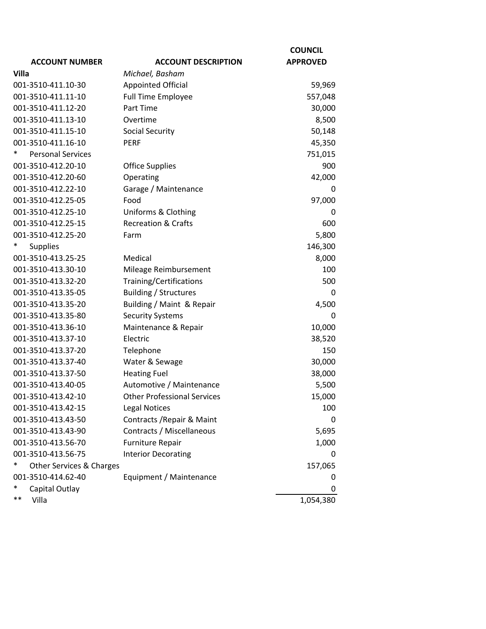|                                    |                                    | <b>COUNCIL</b>  |
|------------------------------------|------------------------------------|-----------------|
| <b>ACCOUNT NUMBER</b>              | <b>ACCOUNT DESCRIPTION</b>         | <b>APPROVED</b> |
| Villa                              | Michael, Basham                    |                 |
| 001-3510-411.10-30                 | <b>Appointed Official</b>          | 59,969          |
| 001-3510-411.11-10                 | <b>Full Time Employee</b>          | 557,048         |
| 001-3510-411.12-20                 | Part Time                          | 30,000          |
| 001-3510-411.13-10                 | Overtime                           | 8,500           |
| 001-3510-411.15-10                 | <b>Social Security</b>             | 50,148          |
| 001-3510-411.16-10                 | <b>PERF</b>                        | 45,350          |
| $\ast$<br><b>Personal Services</b> |                                    | 751,015         |
| 001-3510-412.20-10                 | <b>Office Supplies</b>             | 900             |
| 001-3510-412.20-60                 | Operating                          | 42,000          |
| 001-3510-412.22-10                 | Garage / Maintenance               | 0               |
| 001-3510-412.25-05                 | Food                               | 97,000          |
| 001-3510-412.25-10                 | Uniforms & Clothing                | $\Omega$        |
| 001-3510-412.25-15                 | <b>Recreation &amp; Crafts</b>     | 600             |
| 001-3510-412.25-20                 | Farm                               | 5,800           |
| <b>Supplies</b>                    |                                    | 146,300         |
| 001-3510-413.25-25                 | Medical                            | 8,000           |
| 001-3510-413.30-10                 | Mileage Reimbursement              | 100             |
| 001-3510-413.32-20                 | Training/Certifications            | 500             |
| 001-3510-413.35-05                 | <b>Building / Structures</b>       | 0               |
| 001-3510-413.35-20                 | Building / Maint & Repair          | 4,500           |
| 001-3510-413.35-80                 | <b>Security Systems</b>            | 0               |
| 001-3510-413.36-10                 | Maintenance & Repair               | 10,000          |
| 001-3510-413.37-10                 | Electric                           | 38,520          |
| 001-3510-413.37-20                 | Telephone                          | 150             |
| 001-3510-413.37-40                 | Water & Sewage                     | 30,000          |
| 001-3510-413.37-50                 | <b>Heating Fuel</b>                | 38,000          |
| 001-3510-413.40-05                 | Automotive / Maintenance           | 5,500           |
| 001-3510-413.42-10                 | <b>Other Professional Services</b> | 15,000          |
| 001-3510-413.42-15                 | <b>Legal Notices</b>               | 100             |
| 001-3510-413.43-50                 | Contracts / Repair & Maint         | 0               |
| 001-3510-413.43-90                 | Contracts / Miscellaneous          | 5,695           |
| 001-3510-413.56-70                 | <b>Furniture Repair</b>            | 1,000           |
| 001-3510-413.56-75                 | <b>Interior Decorating</b>         | 0               |
| Other Services & Charges           |                                    | 157,065         |
| 001-3510-414.62-40                 | Equipment / Maintenance            | 0               |
| *<br>Capital Outlay                |                                    | 0               |
| $***$<br>Villa                     |                                    | 1,054,380       |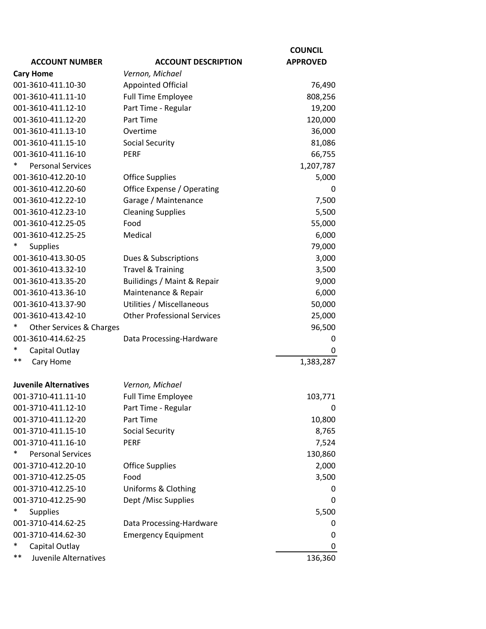|                                |                                    | <b>COUNCIL</b>  |
|--------------------------------|------------------------------------|-----------------|
| <b>ACCOUNT NUMBER</b>          | <b>ACCOUNT DESCRIPTION</b>         | <b>APPROVED</b> |
| <b>Cary Home</b>               | Vernon, Michael                    |                 |
| 001-3610-411.10-30             | <b>Appointed Official</b>          | 76,490          |
| 001-3610-411.11-10             | <b>Full Time Employee</b>          | 808,256         |
| 001-3610-411.12-10             | Part Time - Regular                | 19,200          |
| 001-3610-411.12-20             | Part Time                          | 120,000         |
| 001-3610-411.13-10             | Overtime                           | 36,000          |
| 001-3610-411.15-10             | <b>Social Security</b>             | 81,086          |
| 001-3610-411.16-10             | <b>PERF</b>                        | 66,755          |
| <b>Personal Services</b>       |                                    | 1,207,787       |
| 001-3610-412.20-10             | <b>Office Supplies</b>             | 5,000           |
| 001-3610-412.20-60             | Office Expense / Operating         | 0               |
| 001-3610-412.22-10             | Garage / Maintenance               | 7,500           |
| 001-3610-412.23-10             | <b>Cleaning Supplies</b>           | 5,500           |
| 001-3610-412.25-05             | Food                               | 55,000          |
| 001-3610-412.25-25             | Medical                            | 6,000           |
| ∗<br><b>Supplies</b>           |                                    | 79,000          |
| 001-3610-413.30-05             | Dues & Subscriptions               | 3,000           |
| 001-3610-413.32-10             | <b>Travel &amp; Training</b>       | 3,500           |
| 001-3610-413.35-20             | Builidings / Maint & Repair        | 9,000           |
| 001-3610-413.36-10             | Maintenance & Repair               | 6,000           |
| 001-3610-413.37-90             | Utilities / Miscellaneous          | 50,000          |
| 001-3610-413.42-10             | <b>Other Professional Services</b> | 25,000          |
| ∗<br>Other Services & Charges  |                                    | 96,500          |
| 001-3610-414.62-25             | Data Processing-Hardware           | 0               |
| *<br>Capital Outlay            |                                    | 0               |
| $***$<br>Cary Home             |                                    | 1,383,287       |
| <b>Juvenile Alternatives</b>   | Vernon, Michael                    |                 |
| 001-3710-411.11-10             | <b>Full Time Employee</b>          | 103,771         |
| 001-3710-411.12-10             | Part Time - Regular                | 0               |
| 001-3710-411.12-20             | Part Time                          | 10,800          |
| 001-3710-411.15-10             | <b>Social Security</b>             | 8,765           |
| 001-3710-411.16-10             | <b>PERF</b>                        | 7,524           |
| *<br><b>Personal Services</b>  |                                    | 130,860         |
| 001-3710-412.20-10             | <b>Office Supplies</b>             | 2,000           |
| 001-3710-412.25-05             | Food                               | 3,500           |
| 001-3710-412.25-10             | Uniforms & Clothing                | 0               |
| 001-3710-412.25-90             | Dept / Misc Supplies               | 0               |
| <b>Supplies</b>                |                                    | 5,500           |
| 001-3710-414.62-25             | Data Processing-Hardware           | 0               |
| 001-3710-414.62-30             | <b>Emergency Equipment</b>         | 0               |
| Capital Outlay                 |                                    | 0               |
| $***$<br>Juvenile Alternatives |                                    | 136,360         |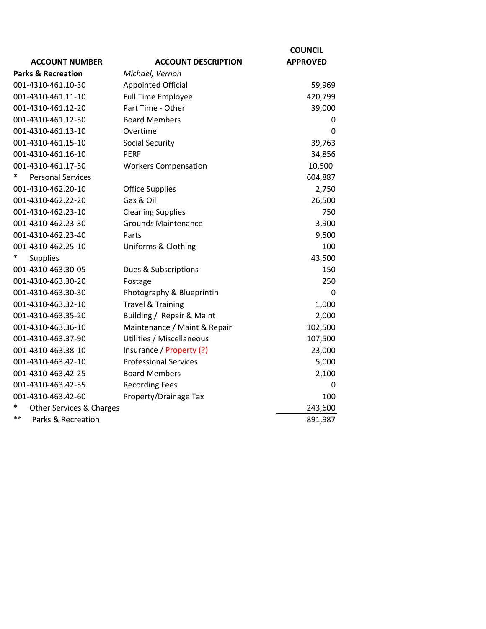|                               |                              | <b>COUNCIL</b>  |
|-------------------------------|------------------------------|-----------------|
| <b>ACCOUNT NUMBER</b>         | <b>ACCOUNT DESCRIPTION</b>   | <b>APPROVED</b> |
| <b>Parks &amp; Recreation</b> | Michael, Vernon              |                 |
| 001-4310-461.10-30            | <b>Appointed Official</b>    | 59,969          |
| 001-4310-461.11-10            | <b>Full Time Employee</b>    | 420,799         |
| 001-4310-461.12-20            | Part Time - Other            | 39,000          |
| 001-4310-461.12-50            | <b>Board Members</b>         | 0               |
| 001-4310-461.13-10            | Overtime                     | 0               |
| 001-4310-461.15-10            | <b>Social Security</b>       | 39,763          |
| 001-4310-461.16-10            | <b>PERF</b>                  | 34,856          |
| 001-4310-461.17-50            | <b>Workers Compensation</b>  | 10,500          |
| *<br><b>Personal Services</b> |                              | 604,887         |
| 001-4310-462.20-10            | <b>Office Supplies</b>       | 2,750           |
| 001-4310-462.22-20            | Gas & Oil                    | 26,500          |
| 001-4310-462.23-10            | <b>Cleaning Supplies</b>     | 750             |
| 001-4310-462.23-30            | <b>Grounds Maintenance</b>   | 3,900           |
| 001-4310-462.23-40            | Parts                        | 9,500           |
| 001-4310-462.25-10            | Uniforms & Clothing          | 100             |
| $\ast$<br><b>Supplies</b>     |                              | 43,500          |
| 001-4310-463.30-05            | Dues & Subscriptions         | 150             |
| 001-4310-463.30-20            | Postage                      | 250             |
| 001-4310-463.30-30            | Photography & Blueprintin    | 0               |
| 001-4310-463.32-10            | <b>Travel &amp; Training</b> | 1,000           |
| 001-4310-463.35-20            | Building / Repair & Maint    | 2,000           |
| 001-4310-463.36-10            | Maintenance / Maint & Repair | 102,500         |
| 001-4310-463.37-90            | Utilities / Miscellaneous    | 107,500         |
| 001-4310-463.38-10            | Insurance / Property (?)     | 23,000          |
| 001-4310-463.42-10            | <b>Professional Services</b> | 5,000           |
| 001-4310-463.42-25            | <b>Board Members</b>         | 2,100           |
| 001-4310-463.42-55            | <b>Recording Fees</b>        | 0               |
| 001-4310-463.42-60            | Property/Drainage Tax        | 100             |
| *<br>Other Services & Charges |                              | 243,600         |
| **<br>Parks & Recreation      |                              | 891,987         |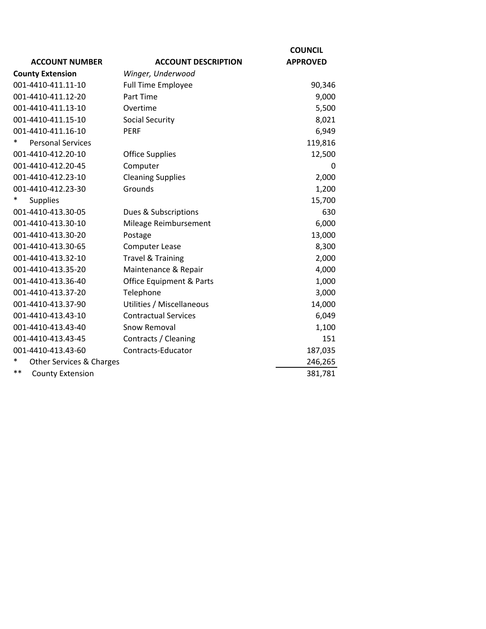|                                  |                                     | <b>COUNCIL</b>  |
|----------------------------------|-------------------------------------|-----------------|
| <b>ACCOUNT NUMBER</b>            | <b>ACCOUNT DESCRIPTION</b>          | <b>APPROVED</b> |
| <b>County Extension</b>          | Winger, Underwood                   |                 |
| 001-4410-411.11-10               | <b>Full Time Employee</b>           | 90,346          |
| 001-4410-411.12-20               | Part Time                           | 9,000           |
| 001-4410-411.13-10               | Overtime                            | 5,500           |
| 001-4410-411.15-10               | <b>Social Security</b>              | 8,021           |
| 001-4410-411.16-10               | <b>PERF</b>                         | 6,949           |
| <b>Personal Services</b>         |                                     | 119,816         |
| 001-4410-412.20-10               | <b>Office Supplies</b>              | 12,500          |
| 001-4410-412.20-45               | Computer                            | $\Omega$        |
| 001-4410-412.23-10               | <b>Cleaning Supplies</b>            | 2,000           |
| 001-4410-412.23-30               | Grounds                             | 1,200           |
| *<br><b>Supplies</b>             |                                     | 15,700          |
| 001-4410-413.30-05               | Dues & Subscriptions                | 630             |
| 001-4410-413.30-10               | Mileage Reimbursement               | 6,000           |
| 001-4410-413.30-20               | Postage                             | 13,000          |
| 001-4410-413.30-65               | <b>Computer Lease</b>               | 8,300           |
| 001-4410-413.32-10               | <b>Travel &amp; Training</b>        | 2,000           |
| 001-4410-413.35-20               | Maintenance & Repair                | 4,000           |
| 001-4410-413.36-40               | <b>Office Equipment &amp; Parts</b> | 1,000           |
| 001-4410-413.37-20               | Telephone                           | 3,000           |
| 001-4410-413.37-90               | Utilities / Miscellaneous           | 14,000          |
| 001-4410-413.43-10               | <b>Contractual Services</b>         | 6,049           |
| 001-4410-413.43-40               | Snow Removal                        | 1,100           |
| 001-4410-413.43-45               | Contracts / Cleaning                | 151             |
| 001-4410-413.43-60               | Contracts-Educator                  | 187,035         |
| Other Services & Charges         |                                     | 246,265         |
| $***$<br><b>County Extension</b> |                                     | 381,781         |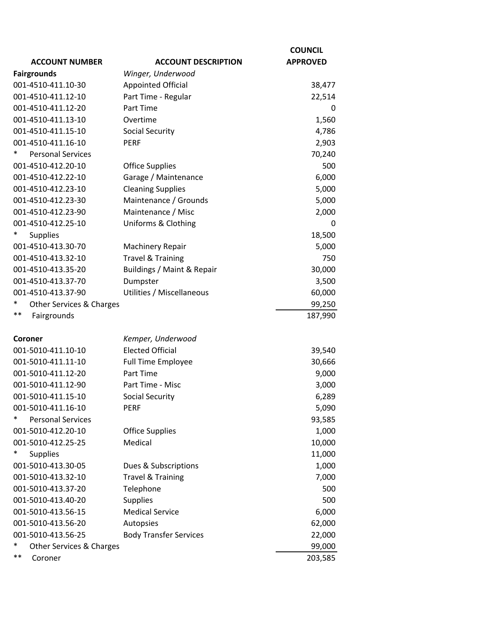|                               |                               | <b>COUNCIL</b>  |
|-------------------------------|-------------------------------|-----------------|
| <b>ACCOUNT NUMBER</b>         | <b>ACCOUNT DESCRIPTION</b>    | <b>APPROVED</b> |
| <b>Fairgrounds</b>            | Winger, Underwood             |                 |
| 001-4510-411.10-30            | <b>Appointed Official</b>     | 38,477          |
| 001-4510-411.12-10            | Part Time - Regular           | 22,514          |
| 001-4510-411.12-20            | Part Time                     | 0               |
| 001-4510-411.13-10            | Overtime                      | 1,560           |
| 001-4510-411.15-10            | <b>Social Security</b>        | 4,786           |
| 001-4510-411.16-10            | <b>PERF</b>                   | 2,903           |
| <b>Personal Services</b>      |                               | 70,240          |
| 001-4510-412.20-10            | <b>Office Supplies</b>        | 500             |
| 001-4510-412.22-10            | Garage / Maintenance          | 6,000           |
| 001-4510-412.23-10            | <b>Cleaning Supplies</b>      | 5,000           |
| 001-4510-412.23-30            | Maintenance / Grounds         | 5,000           |
| 001-4510-412.23-90            | Maintenance / Misc            | 2,000           |
| 001-4510-412.25-10            | Uniforms & Clothing           | 0               |
| $\ast$<br>Supplies            |                               | 18,500          |
| 001-4510-413.30-70            | <b>Machinery Repair</b>       | 5,000           |
| 001-4510-413.32-10            | <b>Travel &amp; Training</b>  | 750             |
| 001-4510-413.35-20            | Buildings / Maint & Repair    | 30,000          |
| 001-4510-413.37-70            | Dumpster                      | 3,500           |
| 001-4510-413.37-90            | Utilities / Miscellaneous     | 60,000          |
| ∗<br>Other Services & Charges |                               | 99,250          |
| $***$<br>Fairgrounds          |                               | 187,990         |
|                               |                               |                 |
| Coroner                       | Kemper, Underwood             |                 |
| 001-5010-411.10-10            | <b>Elected Official</b>       | 39,540          |
| 001-5010-411.11-10            | <b>Full Time Employee</b>     | 30,666          |
| 001-5010-411.12-20            | Part Time                     | 9,000           |
| 001-5010-411.12-90            | Part Time - Misc              | 3,000           |
| 001-5010-411.15-10            | <b>Social Security</b>        | 6,289           |
| 001-5010-411.16-10            | PERF                          | 5,090           |
| *<br><b>Personal Services</b> |                               | 93,585          |
| 001-5010-412.20-10            | <b>Office Supplies</b>        | 1,000           |
| 001-5010-412.25-25            | Medical                       | 10,000          |
| $\ast$<br><b>Supplies</b>     |                               | 11,000          |
| 001-5010-413.30-05            | Dues & Subscriptions          | 1,000           |
| 001-5010-413.32-10            | <b>Travel &amp; Training</b>  | 7,000           |
| 001-5010-413.37-20            | Telephone                     | 500             |
| 001-5010-413.40-20            | <b>Supplies</b>               | 500             |
| 001-5010-413.56-15            | <b>Medical Service</b>        | 6,000           |
| 001-5010-413.56-20            | Autopsies                     | 62,000          |
| 001-5010-413.56-25            | <b>Body Transfer Services</b> | 22,000          |
| *<br>Other Services & Charges |                               | 99,000          |
| $***$<br>Coroner              |                               | 203,585         |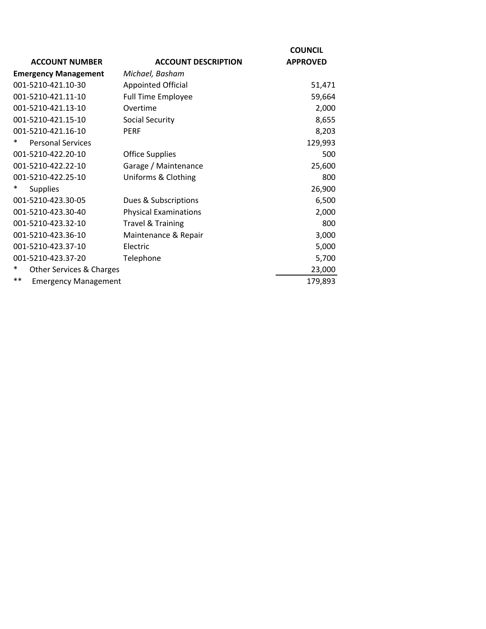| <b>ACCOUNT NUMBER</b>                | <b>ACCOUNT DESCRIPTION</b>   | <b>COUNCIL</b><br><b>APPROVED</b> |
|--------------------------------------|------------------------------|-----------------------------------|
| <b>Emergency Management</b>          | Michael, Basham              |                                   |
| 001-5210-421.10-30                   | <b>Appointed Official</b>    | 51,471                            |
| 001-5210-421.11-10                   | <b>Full Time Employee</b>    | 59,664                            |
| 001-5210-421.13-10                   | Overtime                     | 2,000                             |
| 001-5210-421.15-10                   | Social Security              | 8,655                             |
| 001-5210-421.16-10                   | <b>PERF</b>                  | 8,203                             |
| <b>Personal Services</b><br>*        |                              | 129,993                           |
| 001-5210-422.20-10                   | <b>Office Supplies</b>       | 500                               |
| 001-5210-422.22-10                   | Garage / Maintenance         | 25,600                            |
| 001-5210-422.25-10                   | Uniforms & Clothing          | 800                               |
| <b>Supplies</b>                      |                              | 26,900                            |
| 001-5210-423.30-05                   | Dues & Subscriptions         | 6,500                             |
| 001-5210-423.30-40                   | <b>Physical Examinations</b> | 2,000                             |
| 001-5210-423.32-10                   | <b>Travel &amp; Training</b> | 800                               |
| 001-5210-423.36-10                   | Maintenance & Repair         | 3,000                             |
| 001-5210-423.37-10                   | Electric                     | 5,000                             |
| 001-5210-423.37-20                   | Telephone                    | 5,700                             |
| Other Services & Charges             |                              | 23,000                            |
| $***$<br><b>Emergency Management</b> |                              | 179,893                           |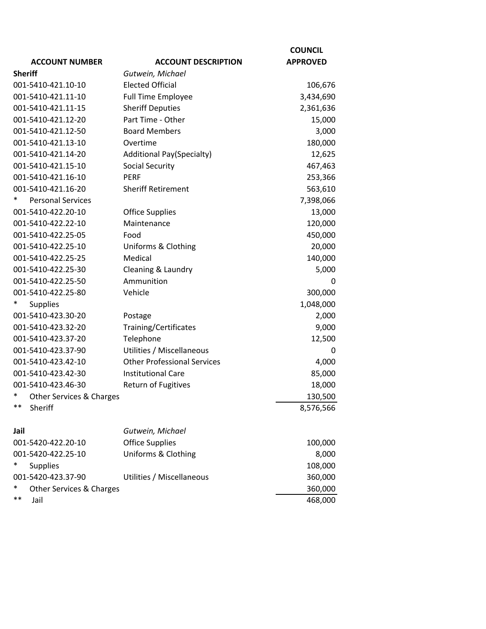|                               |                                    | <b>COUNCIL</b>  |
|-------------------------------|------------------------------------|-----------------|
| <b>ACCOUNT NUMBER</b>         | <b>ACCOUNT DESCRIPTION</b>         | <b>APPROVED</b> |
| <b>Sheriff</b>                | Gutwein, Michael                   |                 |
| 001-5410-421.10-10            | <b>Elected Official</b>            | 106,676         |
| 001-5410-421.11-10            | <b>Full Time Employee</b>          | 3,434,690       |
| 001-5410-421.11-15            | <b>Sheriff Deputies</b>            | 2,361,636       |
| 001-5410-421.12-20            | Part Time - Other                  | 15,000          |
| 001-5410-421.12-50            | <b>Board Members</b>               | 3,000           |
| 001-5410-421.13-10            | Overtime                           | 180,000         |
| 001-5410-421.14-20            | <b>Additional Pay(Specialty)</b>   | 12,625          |
| 001-5410-421.15-10            | <b>Social Security</b>             | 467,463         |
| 001-5410-421.16-10            | <b>PERF</b>                        | 253,366         |
| 001-5410-421.16-20            | <b>Sheriff Retirement</b>          | 563,610         |
| <b>Personal Services</b>      |                                    | 7,398,066       |
| 001-5410-422.20-10            | <b>Office Supplies</b>             | 13,000          |
| 001-5410-422.22-10            | Maintenance                        | 120,000         |
| 001-5410-422.25-05            | Food                               | 450,000         |
| 001-5410-422.25-10            | Uniforms & Clothing                | 20,000          |
| 001-5410-422.25-25            | Medical                            | 140,000         |
| 001-5410-422.25-30            | Cleaning & Laundry                 | 5,000           |
| 001-5410-422.25-50            | Ammunition                         | 0               |
| 001-5410-422.25-80            | Vehicle                            | 300,000         |
| <b>Supplies</b>               |                                    | 1,048,000       |
| 001-5410-423.30-20            | Postage                            | 2,000           |
| 001-5410-423.32-20            | Training/Certificates              | 9,000           |
| 001-5410-423.37-20            | Telephone                          | 12,500          |
| 001-5410-423.37-90            | Utilities / Miscellaneous          | 0               |
| 001-5410-423.42-10            | <b>Other Professional Services</b> | 4,000           |
| 001-5410-423.42-30            | <b>Institutional Care</b>          | 85,000          |
| 001-5410-423.46-30            | Return of Fugitives                | 18,000          |
| *<br>Other Services & Charges |                                    | 130,500         |
| **<br>Sheriff                 |                                    | 8,576,566       |
| Jail                          | Gutwein, Michael                   |                 |
| 001-5420-422.20-10            | <b>Office Supplies</b>             | 100,000         |
| 001-5420-422.25-10            | Uniforms & Clothing                | 8,000           |
| <b>Supplies</b>               |                                    | 108,000         |
| 001-5420-423.37-90            | Utilities / Miscellaneous          | 360,000         |
| ∗<br>Other Services & Charges |                                    | 360,000         |
| $***$<br>Jail                 |                                    | 468,000         |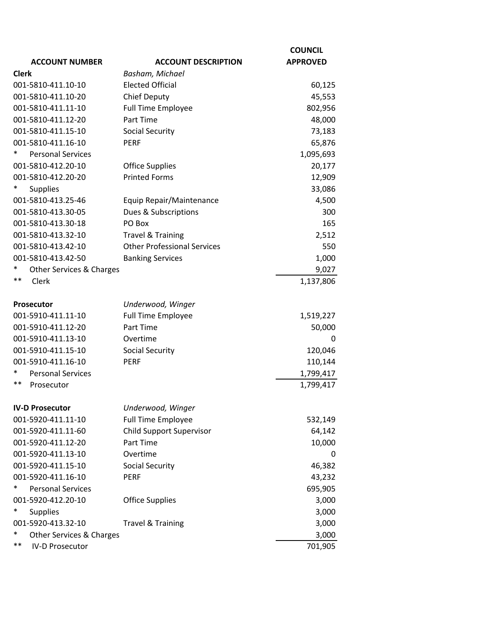|                               |                                    | <b>COUNCIL</b>  |
|-------------------------------|------------------------------------|-----------------|
| <b>ACCOUNT NUMBER</b>         | <b>ACCOUNT DESCRIPTION</b>         | <b>APPROVED</b> |
| <b>Clerk</b>                  | Basham, Michael                    |                 |
| 001-5810-411.10-10            | <b>Elected Official</b>            | 60,125          |
| 001-5810-411.10-20            | Chief Deputy                       | 45,553          |
| 001-5810-411.11-10            | <b>Full Time Employee</b>          | 802,956         |
| 001-5810-411.12-20            | Part Time                          | 48,000          |
| 001-5810-411.15-10            | <b>Social Security</b>             | 73,183          |
| 001-5810-411.16-10            | <b>PERF</b>                        | 65,876          |
| *<br><b>Personal Services</b> |                                    | 1,095,693       |
| 001-5810-412.20-10            | <b>Office Supplies</b>             | 20,177          |
| 001-5810-412.20-20            | <b>Printed Forms</b>               | 12,909          |
| <b>Supplies</b>               |                                    | 33,086          |
| 001-5810-413.25-46            | Equip Repair/Maintenance           | 4,500           |
| 001-5810-413.30-05            | Dues & Subscriptions               | 300             |
| 001-5810-413.30-18            | PO Box                             | 165             |
| 001-5810-413.32-10            | <b>Travel &amp; Training</b>       | 2,512           |
| 001-5810-413.42-10            | <b>Other Professional Services</b> | 550             |
| 001-5810-413.42-50            | <b>Banking Services</b>            | 1,000           |
| Other Services & Charges      |                                    | 9,027           |
| **<br>Clerk                   |                                    | 1,137,806       |
|                               |                                    |                 |
| Prosecutor                    | Underwood, Winger                  |                 |
| 001-5910-411.11-10            | <b>Full Time Employee</b>          | 1,519,227       |
| 001-5910-411.12-20            | Part Time                          | 50,000          |
| 001-5910-411.13-10            | Overtime                           | 0               |
| 001-5910-411.15-10            | <b>Social Security</b>             | 120,046         |
| 001-5910-411.16-10            | <b>PERF</b>                        | 110,144         |
| *<br><b>Personal Services</b> |                                    | 1,799,417       |
| **<br>Prosecutor              |                                    | 1,799,417       |
|                               |                                    |                 |
| <b>IV-D Prosecutor</b>        | Underwood, Winger                  |                 |
| 001-5920-411.11-10            | <b>Full Time Employee</b>          | 532,149         |
| 001-5920-411.11-60            | <b>Child Support Supervisor</b>    | 64,142          |
| 001-5920-411.12-20            | Part Time                          | 10,000          |
| 001-5920-411.13-10            | Overtime                           | 0               |
| 001-5920-411.15-10            | <b>Social Security</b>             | 46,382          |
| 001-5920-411.16-10            | <b>PERF</b>                        | 43,232          |
| <b>Personal Services</b>      |                                    | 695,905         |
| 001-5920-412.20-10            | <b>Office Supplies</b>             | 3,000           |
| *<br><b>Supplies</b>          |                                    | 3,000           |
| 001-5920-413.32-10            | <b>Travel &amp; Training</b>       | 3,000           |
| *<br>Other Services & Charges |                                    | 3,000           |
| **<br><b>IV-D Prosecutor</b>  |                                    | 701,905         |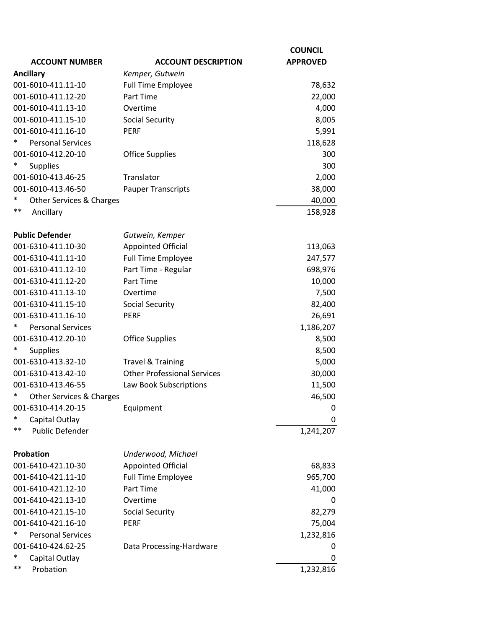|                                    |                                    | <b>COUNCIL</b>  |
|------------------------------------|------------------------------------|-----------------|
| <b>ACCOUNT NUMBER</b>              | <b>ACCOUNT DESCRIPTION</b>         | <b>APPROVED</b> |
| <b>Ancillary</b>                   | Kemper, Gutwein                    |                 |
| 001-6010-411.11-10                 | <b>Full Time Employee</b>          | 78,632          |
| 001-6010-411.12-20                 | Part Time                          | 22,000          |
| 001-6010-411.13-10                 | Overtime                           | 4,000           |
| 001-6010-411.15-10                 | <b>Social Security</b>             | 8,005           |
| 001-6010-411.16-10                 | <b>PERF</b>                        | 5,991           |
| $\ast$<br><b>Personal Services</b> |                                    | 118,628         |
| 001-6010-412.20-10                 | <b>Office Supplies</b>             | 300             |
| $\ast$<br>Supplies                 |                                    | 300             |
| 001-6010-413.46-25                 | Translator                         | 2,000           |
| 001-6010-413.46-50                 | <b>Pauper Transcripts</b>          | 38,000          |
| *<br>Other Services & Charges      |                                    | 40,000          |
| $***$<br>Ancillary                 |                                    | 158,928         |
| <b>Public Defender</b>             | Gutwein, Kemper                    |                 |
| 001-6310-411.10-30                 | <b>Appointed Official</b>          | 113,063         |
| 001-6310-411.11-10                 | <b>Full Time Employee</b>          | 247,577         |
| 001-6310-411.12-10                 | Part Time - Regular                | 698,976         |
| 001-6310-411.12-20                 | Part Time                          | 10,000          |
| 001-6310-411.13-10                 | Overtime                           | 7,500           |
| 001-6310-411.15-10                 | <b>Social Security</b>             | 82,400          |
| 001-6310-411.16-10                 | <b>PERF</b>                        | 26,691          |
| <b>Personal Services</b><br>∗      |                                    | 1,186,207       |
| 001-6310-412.20-10                 | <b>Office Supplies</b>             | 8,500           |
| <b>Supplies</b>                    |                                    | 8,500           |
| 001-6310-413.32-10                 | <b>Travel &amp; Training</b>       | 5,000           |
| 001-6310-413.42-10                 | <b>Other Professional Services</b> | 30,000          |
| 001-6310-413.46-55                 | Law Book Subscriptions             | 11,500          |
| *<br>Other Services & Charges      |                                    | 46,500          |
| 001-6310-414.20-15                 | Equipment                          | 0               |
| *<br>Capital Outlay                |                                    | 0               |
| $***$<br>Public Defender           |                                    | 1,241,207       |
| Probation                          | Underwood, Michael                 |                 |
| 001-6410-421.10-30                 | <b>Appointed Official</b>          | 68,833          |
| 001-6410-421.11-10                 | <b>Full Time Employee</b>          | 965,700         |
| 001-6410-421.12-10                 | Part Time                          | 41,000          |
| 001-6410-421.13-10                 | Overtime                           | 0               |
| 001-6410-421.15-10                 | <b>Social Security</b>             | 82,279          |
| 001-6410-421.16-10                 | <b>PERF</b>                        | 75,004          |
| $\ast$<br><b>Personal Services</b> |                                    | 1,232,816       |
| 001-6410-424.62-25                 | Data Processing-Hardware           | 0               |
| *<br>Capital Outlay                |                                    | 0               |
| $***$<br>Probation                 |                                    | 1,232,816       |
|                                    |                                    |                 |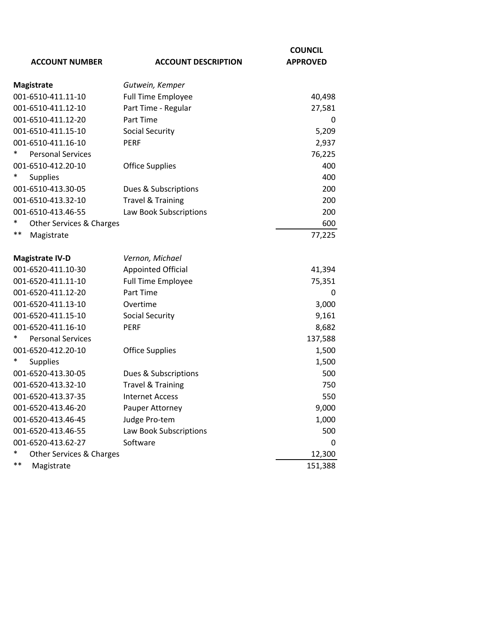|                                    | <b>COUNCIL</b>               |                 |
|------------------------------------|------------------------------|-----------------|
| <b>ACCOUNT NUMBER</b>              | <b>ACCOUNT DESCRIPTION</b>   | <b>APPROVED</b> |
| <b>Magistrate</b>                  | Gutwein, Kemper              |                 |
| 001-6510-411.11-10                 | <b>Full Time Employee</b>    | 40,498          |
| 001-6510-411.12-10                 | Part Time - Regular          | 27,581          |
| 001-6510-411.12-20                 | Part Time                    | 0               |
| 001-6510-411.15-10                 | <b>Social Security</b>       | 5,209           |
| 001-6510-411.16-10                 | <b>PERF</b>                  | 2,937           |
| <b>Personal Services</b>           |                              | 76,225          |
| 001-6510-412.20-10                 | <b>Office Supplies</b>       | 400             |
| <b>Supplies</b>                    |                              | 400             |
| 001-6510-413.30-05                 | Dues & Subscriptions         | 200             |
| 001-6510-413.32-10                 | <b>Travel &amp; Training</b> | 200             |
| 001-6510-413.46-55                 | Law Book Subscriptions       | 200             |
| Other Services & Charges           |                              | 600             |
| $***$<br>Magistrate                |                              | 77,225          |
| <b>Magistrate IV-D</b>             | Vernon, Michael              |                 |
| 001-6520-411.10-30                 | <b>Appointed Official</b>    | 41,394          |
| 001-6520-411.11-10                 | <b>Full Time Employee</b>    | 75,351          |
| 001-6520-411.12-20                 | Part Time                    | 0               |
| 001-6520-411.13-10                 | Overtime                     | 3,000           |
| 001-6520-411.15-10                 | <b>Social Security</b>       | 9,161           |
| 001-6520-411.16-10                 | <b>PERF</b>                  | 8,682           |
| <b>Personal Services</b>           |                              | 137,588         |
| 001-6520-412.20-10                 | <b>Office Supplies</b>       | 1,500           |
| <b>Supplies</b>                    |                              | 1,500           |
| 001-6520-413.30-05                 | Dues & Subscriptions         | 500             |
| 001-6520-413.32-10                 | <b>Travel &amp; Training</b> | 750             |
| 001-6520-413.37-35                 | <b>Internet Access</b>       | 550             |
| 001-6520-413.46-20                 | Pauper Attorney              | 9,000           |
| 001-6520-413.46-45                 | Judge Pro-tem                | 1,000           |
| 001-6520-413.46-55                 | Law Book Subscriptions       | 500             |
| 001-6520-413.62-27                 | Software                     | 0               |
| $\ast$<br>Other Services & Charges |                              | 12,300          |
| $***$<br>Magistrate                |                              | 151,388         |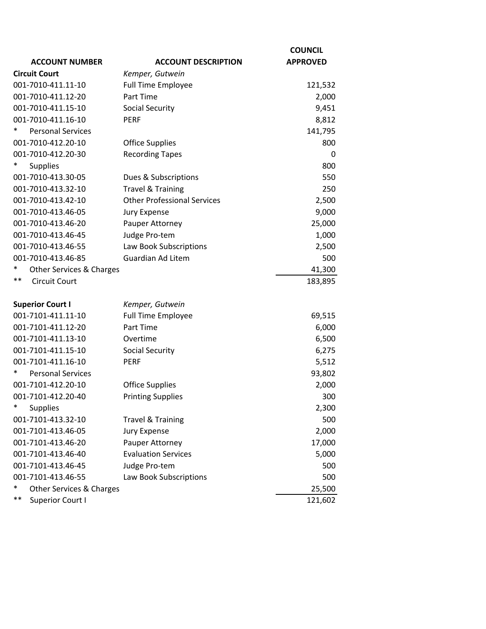| <b>ACCOUNT NUMBER</b>              | <b>ACCOUNT DESCRIPTION</b>         | <b>COUNCIL</b><br><b>APPROVED</b> |
|------------------------------------|------------------------------------|-----------------------------------|
| <b>Circuit Court</b>               | Kemper, Gutwein                    |                                   |
| 001-7010-411.11-10                 | <b>Full Time Employee</b>          | 121,532                           |
| 001-7010-411.12-20                 | Part Time                          | 2,000                             |
| 001-7010-411.15-10                 | <b>Social Security</b>             | 9,451                             |
| 001-7010-411.16-10                 | <b>PERF</b>                        | 8,812                             |
| $\ast$<br><b>Personal Services</b> |                                    | 141,795                           |
| 001-7010-412.20-10                 | <b>Office Supplies</b>             | 800                               |
| 001-7010-412.20-30                 | <b>Recording Tapes</b>             | $\mathbf 0$                       |
| <b>Supplies</b>                    |                                    | 800                               |
| 001-7010-413.30-05                 | Dues & Subscriptions               | 550                               |
| 001-7010-413.32-10                 | <b>Travel &amp; Training</b>       | 250                               |
| 001-7010-413.42-10                 | <b>Other Professional Services</b> | 2,500                             |
| 001-7010-413.46-05                 | <b>Jury Expense</b>                | 9,000                             |
| 001-7010-413.46-20                 | Pauper Attorney                    | 25,000                            |
| 001-7010-413.46-45                 | Judge Pro-tem                      | 1,000                             |
| 001-7010-413.46-55                 | Law Book Subscriptions             | 2,500                             |
| 001-7010-413.46-85                 | <b>Guardian Ad Litem</b>           | 500                               |
| Other Services & Charges           |                                    | 41,300                            |
| $***$<br><b>Circuit Court</b>      |                                    | 183,895                           |
| <b>Superior Court I</b>            | Kemper, Gutwein                    |                                   |
| 001-7101-411.11-10                 | <b>Full Time Employee</b>          | 69,515                            |
| 001-7101-411.12-20                 | Part Time                          | 6,000                             |
| 001-7101-411.13-10                 | Overtime                           | 6,500                             |
| 001-7101-411.15-10                 | <b>Social Security</b>             | 6,275                             |
| 001-7101-411.16-10                 | <b>PERF</b>                        | 5,512                             |
| $\ast$<br><b>Personal Services</b> |                                    | 93,802                            |
| 001-7101-412.20-10                 | <b>Office Supplies</b>             | 2,000                             |
| 001-7101-412.20-40                 | <b>Printing Supplies</b>           | 300                               |
| ∗<br>Supplies                      |                                    | 2,300                             |
| 001-7101-413.32-10                 | <b>Travel &amp; Training</b>       | 500                               |
| 001-7101-413.46-05                 | <b>Jury Expense</b>                | 2,000                             |
| 001-7101-413.46-20                 | Pauper Attorney                    | 17,000                            |
| 001-7101-413.46-40                 | <b>Evaluation Services</b>         | 5,000                             |
| 001-7101-413.46-45                 | Judge Pro-tem                      | 500                               |
| 001-7101-413.46-55                 | Law Book Subscriptions             | 500                               |
| ∗<br>Other Services & Charges      |                                    | 25,500                            |
| $***$<br>Superior Court I          |                                    | 121,602                           |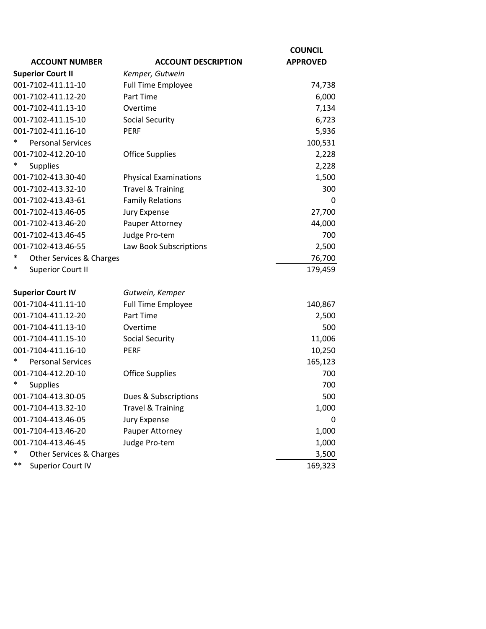|                                |                              | <b>COUNCIL</b>  |
|--------------------------------|------------------------------|-----------------|
| <b>ACCOUNT NUMBER</b>          | <b>ACCOUNT DESCRIPTION</b>   | <b>APPROVED</b> |
| <b>Superior Court II</b>       | Kemper, Gutwein              |                 |
| 001-7102-411.11-10             | <b>Full Time Employee</b>    | 74,738          |
| 001-7102-411.12-20             | Part Time                    | 6,000           |
| 001-7102-411.13-10             | Overtime                     | 7,134           |
| 001-7102-411.15-10             | <b>Social Security</b>       | 6,723           |
| 001-7102-411.16-10             | <b>PERF</b>                  | 5,936           |
| <b>Personal Services</b>       |                              | 100,531         |
| 001-7102-412.20-10             | <b>Office Supplies</b>       | 2,228           |
| <b>Supplies</b>                |                              | 2,228           |
| 001-7102-413.30-40             | <b>Physical Examinations</b> | 1,500           |
| 001-7102-413.32-10             | <b>Travel &amp; Training</b> | 300             |
| 001-7102-413.43-61             | <b>Family Relations</b>      | 0               |
| 001-7102-413.46-05             | <b>Jury Expense</b>          | 27,700          |
| 001-7102-413.46-20             | Pauper Attorney              | 44,000          |
| 001-7102-413.46-45             | Judge Pro-tem                | 700             |
| 001-7102-413.46-55             | Law Book Subscriptions       | 2,500           |
| *<br>Other Services & Charges  |                              | 76,700          |
| *<br><b>Superior Court II</b>  |                              | 179,459         |
| <b>Superior Court IV</b>       | Gutwein, Kemper              |                 |
| 001-7104-411.11-10             | <b>Full Time Employee</b>    | 140,867         |
| 001-7104-411.12-20             | Part Time                    | 2,500           |
| 001-7104-411.13-10             | Overtime                     | 500             |
| 001-7104-411.15-10             | <b>Social Security</b>       | 11,006          |
| 001-7104-411.16-10             | <b>PERF</b>                  | 10,250          |
| <b>Personal Services</b>       |                              | 165,123         |
| 001-7104-412.20-10             | <b>Office Supplies</b>       | 700             |
| <b>Supplies</b>                |                              | 700             |
| 001-7104-413.30-05             | Dues & Subscriptions         | 500             |
| 001-7104-413.32-10             | <b>Travel &amp; Training</b> | 1,000           |
| 001-7104-413.46-05             | <b>Jury Expense</b>          | 0               |
| 001-7104-413.46-20             | Pauper Attorney              | 1,000           |
| 001-7104-413.46-45             | Judge Pro-tem                | 1,000           |
| *<br>Other Services & Charges  |                              | 3,500           |
| **<br><b>Superior Court IV</b> |                              | 169,323         |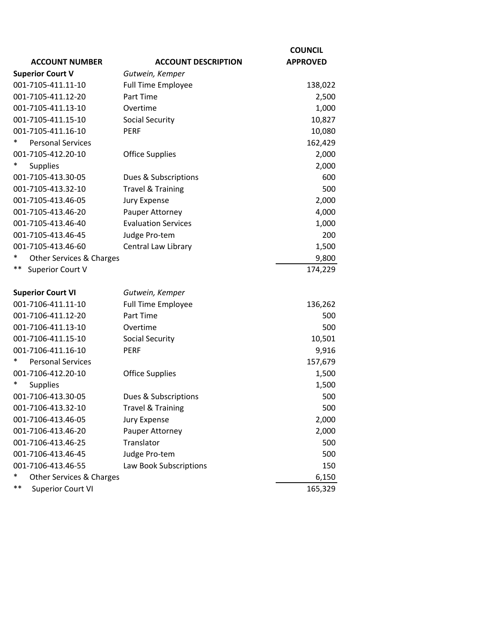|                                    |                              | <b>COUNCIL</b>  |
|------------------------------------|------------------------------|-----------------|
| <b>ACCOUNT NUMBER</b>              | <b>ACCOUNT DESCRIPTION</b>   | <b>APPROVED</b> |
| <b>Superior Court V</b>            | Gutwein, Kemper              |                 |
| 001-7105-411.11-10                 | <b>Full Time Employee</b>    | 138,022         |
| 001-7105-411.12-20                 | Part Time                    | 2,500           |
| 001-7105-411.13-10                 | Overtime                     | 1,000           |
| 001-7105-411.15-10                 | <b>Social Security</b>       | 10,827          |
| 001-7105-411.16-10                 | <b>PERF</b>                  | 10,080          |
| <b>Personal Services</b>           |                              | 162,429         |
| 001-7105-412.20-10                 | <b>Office Supplies</b>       | 2,000           |
| <b>Supplies</b>                    |                              | 2,000           |
| 001-7105-413.30-05                 | Dues & Subscriptions         | 600             |
| 001-7105-413.32-10                 | <b>Travel &amp; Training</b> | 500             |
| 001-7105-413.46-05                 | Jury Expense                 | 2,000           |
| 001-7105-413.46-20                 | Pauper Attorney              | 4,000           |
| 001-7105-413.46-40                 | <b>Evaluation Services</b>   | 1,000           |
| 001-7105-413.46-45                 | Judge Pro-tem                | 200             |
| 001-7105-413.46-60                 | Central Law Library          | 1,500           |
| $\ast$<br>Other Services & Charges |                              | 9,800           |
| **<br>Superior Court V             |                              | 174,229         |
|                                    |                              |                 |
| <b>Superior Court VI</b>           | Gutwein, Kemper              |                 |
| 001-7106-411.11-10                 | <b>Full Time Employee</b>    | 136,262         |
| 001-7106-411.12-20                 | Part Time                    | 500             |
| 001-7106-411.13-10                 | Overtime                     | 500             |
| 001-7106-411.15-10                 | <b>Social Security</b>       | 10,501          |
| 001-7106-411.16-10                 | <b>PERF</b>                  | 9,916           |
| <b>Personal Services</b>           |                              | 157,679         |
| 001-7106-412.20-10                 | <b>Office Supplies</b>       | 1,500           |
| <b>Supplies</b>                    |                              | 1,500           |
| 001-7106-413.30-05                 | Dues & Subscriptions         | 500             |
| 001-7106-413.32-10                 | <b>Travel &amp; Training</b> | 500             |
| 001-7106-413.46-05                 | Jury Expense                 | 2,000           |
| 001-7106-413.46-20                 | Pauper Attorney              | 2,000           |
| 001-7106-413.46-25                 | Translator                   | 500             |
| 001-7106-413.46-45                 | Judge Pro-tem                | 500             |
| 001-7106-413.46-55                 | Law Book Subscriptions       | 150             |
| $\ast$<br>Other Services & Charges |                              | 6,150           |
| $***$<br><b>Superior Court VI</b>  |                              | 165,329         |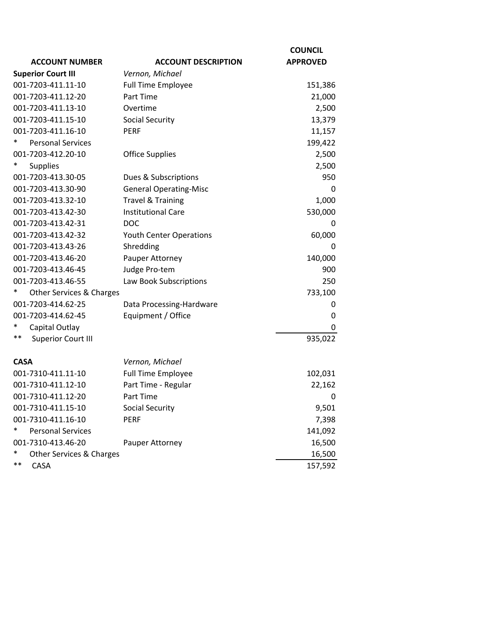|                                          |                                | <b>COUNCIL</b>  |
|------------------------------------------|--------------------------------|-----------------|
| <b>ACCOUNT NUMBER</b>                    | <b>ACCOUNT DESCRIPTION</b>     | <b>APPROVED</b> |
| <b>Superior Court III</b>                | Vernon, Michael                |                 |
| 001-7203-411.11-10                       | <b>Full Time Employee</b>      | 151,386         |
| 001-7203-411.12-20                       | Part Time                      | 21,000          |
| 001-7203-411.13-10                       | Overtime                       | 2,500           |
| 001-7203-411.15-10                       | <b>Social Security</b>         | 13,379          |
| 001-7203-411.16-10                       | <b>PERF</b>                    | 11,157          |
| <b>Personal Services</b>                 |                                | 199,422         |
| 001-7203-412.20-10                       | <b>Office Supplies</b>         | 2,500           |
| <b>Supplies</b>                          |                                | 2,500           |
| 001-7203-413.30-05                       | Dues & Subscriptions           | 950             |
| 001-7203-413.30-90                       | <b>General Operating-Misc</b>  | 0               |
| 001-7203-413.32-10                       | <b>Travel &amp; Training</b>   | 1,000           |
| 001-7203-413.42-30                       | <b>Institutional Care</b>      | 530,000         |
| 001-7203-413.42-31                       | <b>DOC</b>                     | 0               |
| 001-7203-413.42-32                       | <b>Youth Center Operations</b> | 60,000          |
| 001-7203-413.43-26                       | Shredding                      | 0               |
| 001-7203-413.46-20                       | Pauper Attorney                | 140,000         |
| 001-7203-413.46-45                       | Judge Pro-tem                  | 900             |
| 001-7203-413.46-55                       | Law Book Subscriptions         | 250             |
| *<br><b>Other Services &amp; Charges</b> |                                | 733,100         |
| 001-7203-414.62-25                       | Data Processing-Hardware       | 0               |
| 001-7203-414.62-45                       | Equipment / Office             | 0               |
| Capital Outlay                           |                                | 0               |
| $***$<br><b>Superior Court III</b>       |                                | 935,022         |
| <b>CASA</b>                              | Vernon, Michael                |                 |
| 001-7310-411.11-10                       | <b>Full Time Employee</b>      | 102,031         |
| 001-7310-411.12-10                       | Part Time - Regular            | 22,162          |
| 001-7310-411.12-20                       | Part Time                      | 0               |
| 001-7310-411.15-10                       | <b>Social Security</b>         | 9,501           |
| 001-7310-411.16-10                       | <b>PERF</b>                    | 7,398           |
| *<br><b>Personal Services</b>            |                                | 141,092         |
| 001-7310-413.46-20                       | Pauper Attorney                | 16,500          |
| $\ast$<br>Other Services & Charges       |                                | 16,500          |
| $***$<br>CASA                            |                                | 157,592         |